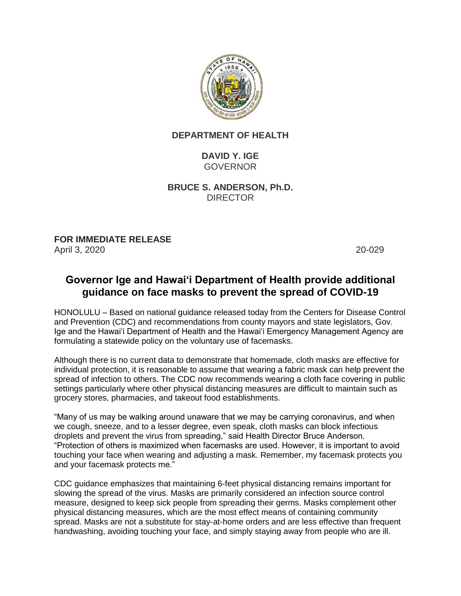

## **DEPARTMENT OF HEALTH**

**DAVID Y. IGE GOVERNOR** 

**BRUCE S. ANDERSON, Ph.D.** DIRECTOR

**FOR IMMEDIATE RELEASE** April 3, 2020 20-029

## **Governor Ige and Hawai'i Department of Health provide additional guidance on face masks to prevent the spread of COVID-19**

HONOLULU – Based on national guidance released today from the Centers for Disease Control and Prevention (CDC) and recommendations from county mayors and state legislators, Gov. Ige and the Hawai'i Department of Health and the Hawai'i Emergency Management Agency are formulating a statewide policy on the voluntary use of facemasks.

Although there is no current data to demonstrate that homemade, cloth masks are effective for individual protection, it is reasonable to assume that wearing a fabric mask can help prevent the spread of infection to others. The CDC now recommends wearing a cloth face covering in public settings particularly where other physical distancing measures are difficult to maintain such as grocery stores, pharmacies, and takeout food establishments.

"Many of us may be walking around unaware that we may be carrying coronavirus, and when we cough, sneeze, and to a lesser degree, even speak, cloth masks can block infectious droplets and prevent the virus from spreading," said Health Director Bruce Anderson. "Protection of others is maximized when facemasks are used. However, it is important to avoid touching your face when wearing and adjusting a mask. Remember, my facemask protects you and your facemask protects me."

CDC guidance emphasizes that maintaining 6-feet physical distancing remains important for slowing the spread of the virus. Masks are primarily considered an infection source control measure, designed to keep sick people from spreading their germs. Masks complement other physical distancing measures, which are the most effect means of containing community spread. Masks are not a substitute for stay-at-home orders and are less effective than frequent handwashing, avoiding touching your face, and simply staying away from people who are ill.